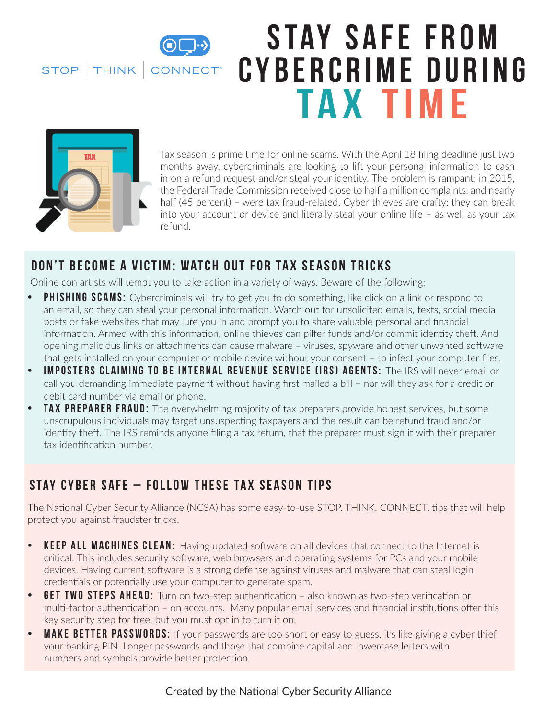STOP | THINK | CONNECT

# STAY SAFE FROM **C y b e r c r i m e d u r i n g Tax Time**



Tax season is prime time for online scams. With the April 18 filing deadline just two months away, cybercriminals are looking to lift your personal information to cash in on a refund request and/or steal your identity. The problem is rampant: in 2015, the Federal Trade Commission received close to half a million complaints, and nearly half (45 percent) – were tax fraud-related. Cyber thieves are crafty: they can break into your account or device and literally steal your online life – as well as your tax refund.

### **Don't Become a Victim: Watch Out for Tax Season Tricks**

Online con artists will tempt you to take action in a variety of ways. Beware of the following:

- **• Phishing scams:** Cybercriminals will try to get you to do something, like click on a link or respond to an email, so they can steal your personal information. Watch out for unsolicited emails, texts, social media posts or fake websites that may lure you in and prompt you to share valuable personal and financial information. Armed with this information, online thieves can pilfer funds and/or commit identity theft. And opening malicious links or attachments can cause malware – viruses, spyware and other unwanted software that gets installed on your computer or mobile device without your consent – to infect your computer files.
- **• Imposters claiming to be Internal Revenue Service (IRS) agents:** The IRS will never email or call you demanding immediate payment without having first mailed a bill – nor will they ask for a credit or debit card number via email or phone.
- **FAX PREPARER FRAUD:** The overwhelming majority of tax preparers provide honest services, but some unscrupulous individuals may target unsuspecting taxpayers and the result can be refund fraud and/or identity theft. The IRS reminds anyone filing a tax return, that the preparer must sign it with their preparer tax identification number.

## **Stay Cyber Safe – Follow These Tax Season Tips**

The National Cyber Security Alliance (NCSA) has some easy-to-use STOP. THINK. CONNECT. tips that will help protect you against fraudster tricks.

- **KEEP ALL MACHINES CLEAN:** Having updated software on all devices that connect to the Internet is critical. This includes security software, web browsers and operating systems for PCs and your mobile devices. Having current software is a strong defense against viruses and malware that can steal login credentials or potentially use your computer to generate spam.
- **GET TWO STEPS AHEAD:** Turn on two-step authentication also known as two-step verification or multi-factor authentication – on accounts. Many popular email services and financial institutions offer this key security step for free, but you must opt in to turn it on.
- **MAKE BETTER PASSWORDS:** If your passwords are too short or easy to guess, it's like giving a cyber thief your banking PIN. Longer passwords and those that combine capital and lowercase letters with numbers and symbols provide better protection.

#### Created by the National Cyber Security Alliance